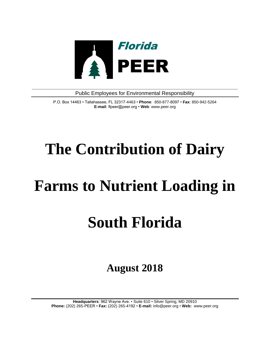

**\_\_\_\_\_\_\_\_\_\_\_\_\_\_\_\_\_\_\_\_\_\_\_\_\_\_\_\_\_\_\_\_\_\_\_\_\_\_\_\_\_\_\_\_\_\_\_\_\_\_\_\_\_\_\_\_\_\_\_\_\_\_\_\_\_\_\_\_\_\_** Public Employees for Environmental Responsibility

> P.O. Box 14463 • Tallahassee, FL 32317-4463 • **Phone**: 850-877-8097 • **Fax**: 850-942-5264 **E-mail**: flpeer@peer.org • **Web**: www.peer.org

# **The Contribution of Dairy**

## **Farms to Nutrient Loading in**

## **South Florida**

**August 2018**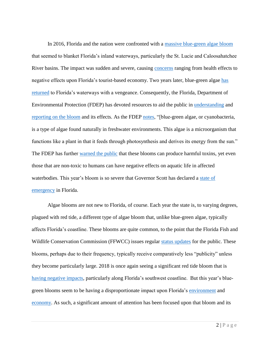In 2016, Florida and the nation were confronted with a [massive blue-green algae bloom](https://www.npr.org/2016/07/09/485367388/a-government-sponsored-disaster-florida-asks-for-federal-help-with-toxic-algae) that seemed to blanket Florida's inland waterways, particularly the St. Lucie and Caloosahatchee River basins. The impact was sudden and severe, causing [concerns](https://www.cnn.com/2016/07/01/us/florida-algae-pollution/index.html) ranging from health effects to negative effects upon Florida's tourist-based economy. Two years later, blue-green algae [has](https://www.nytimes.com/2018/07/09/us/algae-blooms-florida-nyt.html)  [returned](https://www.nytimes.com/2018/07/09/us/algae-blooms-florida-nyt.html) to Florida's waterways with a vengeance. Consequently, the Florida, Department of Environmental Protection (FDEP) has devoted resources to aid the public in [understanding](https://floridadep.gov/sites/default/files/freshwater-algal-bloom-faq.pdf) and [reporting on the bloom](https://floridadep.gov/dear/algal-bloom) and its effects. As the FDEP [notes,](https://floridadep.gov/sites/default/files/freshwater-algal-bloom-faq.pdf) "[blue-green algae, or cyanobacteria, is a type of algae found naturally in freshwater environments. This algae is a microorganism that functions like a plant in that it feeds through photosynthesis and derives its energy from the sun." The FDEP has further [warned the public](https://floridadep.gov/sites/default/files/freshwater-algal-bloom-faq.pdf) that these blooms can produce harmful toxins, yet even those that are non-toxic to humans can have negative effects on aquatic life in affected waterbodies. This year's bloom is so severe that Governor Scott has declared a [state of](https://www.accuweather.com/en/weather-news/toxic-blue-green-algae-plagues-south-floridas-waterways-governor-declares-state-of-emergency/70005487)  [emergency](https://www.accuweather.com/en/weather-news/toxic-blue-green-algae-plagues-south-floridas-waterways-governor-declares-state-of-emergency/70005487) in Florida.

Algae blooms are not new to Florida, of course. Each year the state is, to varying degrees, plagued with red tide, a different type of algae bloom that, unlike blue-green algae, typically affects Florida's coastline. These blooms are quite common, to the point that the Florida Fish and Wildlife Conservation Commission (FFWCC) issues regular [status updates](http://myfwc.com/research/redtide/statewide/) for the public. These blooms, perhaps due to their frequency, typically receive comparatively less "publicity" unless they become particularly large. 2018 is once again seeing a significant red tide bloom that is [having negative impacts,](https://www.news-press.com/story/life/food/2018/08/01/restaurants-react-pungent-smell-affecting-business-appetites/878285002/) particularly along Florida's southwest coastline. But this year's bluegreen blooms seem to be having a disproportionate impact upon Florida's [environment](http://www.orlandosentinel.com/business/os-florida-algae-bloom-20180710-story.html) and [economy.](https://www.naplesnews.com/story/news/local/2018/07/14/floridas-algae-crisis-how-affecting-businesses/783906002/) As such, a significant amount of attention has been focused upon that bloom and its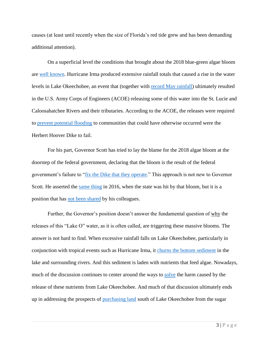causes (at least until recently when the size of Florida's red tide grew and has been demanding additional attention).

On a superficial level the conditions that brought about the 2018 blue-green algae bloom are [well known.](https://www.miamiherald.com/news/local/environment/article213849429.html) Hurricane Irma produced extensive rainfall totals that caused a rise in the water levels in Lake Okeechobee, an event that (together with [record May rainfall\)](https://www.news-press.com/story/news/2018/07/17/algae-bloom-fort-myers-cape-coral-caloosahatchee-lake-okeechobee/788383002/) ultimately resulted in the U.S. Army Corps of Engineers (ACOE) releasing some of this water into the St. Lucie and Caloosahatchee Rivers and their tributaries. According to the ACOE, the releases were required to [prevent potential flooding](https://www.accuweather.com/en/weather-news/toxic-blue-green-algae-plagues-south-floridas-waterways-governor-declares-state-of-emergency/70005487) to communities that could have otherwise occurred were the Herbert Hoover Dike to fail.

For his part, Governor Scott has tried to lay the blame for the 2018 algae bloom at the doorstep of the federal government, declaring that the bloom is the result of the federal government's failure to ["fix the Dike that they operate.](https://www.flgov.com/2018/06/20/gov-scott-directs-dep-to-take-steps-to-curb-potential-algae-blooms/)" This approach is not new to Governor Scott. He asserted the [same thing](https://www.youtube.com/watch?v=99eF210HpAg) in 2016, when the state was hit by that bloom, but it is a position that has [not been shared](http://www.orlandosentinel.com/opinion/os-ed-rick-scott-gop-responsiible-for-algae-disaster-paula-dockery-070716-20160706-story.html) by his colleagues.

Further, the Governor's position doesn't answer the fundamental question of why the releases of this "Lake O" water, as it is often called, are triggering these massive blooms. The answer is not hard to find. When excessive rainfall falls on Lake Okeechobee, particularly in conjunction with tropical events such as Hurricane Irma, it [churns the bottom sediment](https://www.news-press.com/story/news/2018/07/17/algae-bloom-fort-myers-cape-coral-caloosahatchee-lake-okeechobee/788383002/) in the lake and surrounding rivers. And this sediment is laden with nutrients that feed algae. Nowadays, much of the discussion continues to center around the ways to [solve](https://www.npr.org/2018/07/06/626601088/figure-out-how-to-cheaply-fix-algae-blooms-and-win-10-million) the harm caused by the release of these nutrients from Lake Okeechobee. And much of that discussion ultimately ends up in addressing the prospects of [purchasing land](https://www.news-press.com/story/news/environment/2017/03/11/water-wars-battle-hearts-and-minds-voters-swfl-money-messaging/99011858/) south of Lake Okeechobee from the sugar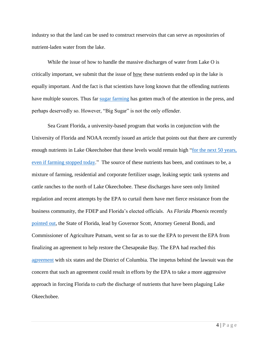industry so that the land can be used to construct reservoirs that can serve as repositories of nutrient-laden water from the lake.

While the issue of how to handle the massive discharges of water from Lake O is critically important, we submit that the issue of how these nutrients ended up in the lake is equally important. And the fact is that scientists have long known that the offending nutrients have multiple sources. Thus far [sugar farming](https://thenewtropic.com/algae-everglades-sugar/) has gotten much of the attention in the press, and perhaps deservedly so. However, "Big Sugar" is not the only offender.

Sea Grant Florida, a university-based program that works in conjunction with the University of Florida and NOAA recently issued an article that points out that there are currently enough nutrients in Lake Okeechobee that these levels would remain high "for the next 50 years, [even if farming stopped today.](https://www.flseagrant.org/news/2018/07/the-algae-bloom-is-back-but-why/)" The source of these nutrients has been, and continues to be, a mixture of farming, residential and corporate fertilizer usage, leaking septic tank systems and cattle ranches to the north of Lake Okeechobee. These discharges have seen only limited regulation and recent attempts by the EPA to curtail them have met fierce resistance from the business community, the FDEP and Florida's elected officials. As *Florida Phoenix* recently [pointed out,](https://www.floridaphoenix.com/2018/08/03/yes-this-really-is-rick-scott-adam-putnam-and-pam-bondis-fault/) the State of Florida, lead by Governor Scott, Attorney General Bondi, and Commissioner of Agriculture Putnam, went so far as to sue the EPA to prevent the EPA from finalizing an agreement to help restore the Chesapeake Bay. The EPA had reached this [agreement](https://www.miamiherald.com/opinion/opn-columns-blogs/carl-hiaasen/article1960146.html) with six states and the District of Columbia. The impetus behind the lawsuit was the concern that such an agreement could result in efforts by the EPA to take a more aggressive approach in forcing Florida to curb the discharge of nutrients that have been plaguing Lake Okeechobee.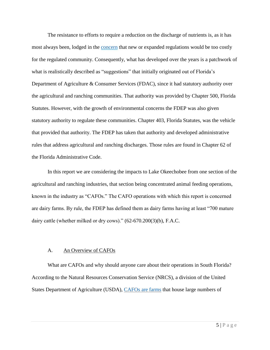The resistance to efforts to require a reduction on the discharge of nutrients is, as it has most always been, lodged in the [concern](https://www.floridaphoenix.com/2018/08/03/yes-this-really-is-rick-scott-adam-putnam-and-pam-bondis-fault/) that new or expanded regulations would be too costly for the regulated community. Consequently, what has developed over the years is a patchwork of what is realistically described as "suggestions" that initially originated out of Florida's Department of Agriculture & Consumer Services (FDAC), since it had statutory authority over the agricultural and ranching communities. That authority was provided by Chapter 500, Florida Statutes. However, with the growth of environmental concerns the FDEP was also given statutory authority to regulate these communities. Chapter 403, Florida Statutes, was the vehicle that provided that authority. The FDEP has taken that authority and developed administrative rules that address agricultural and ranching discharges. Those rules are found in Chapter 62 of the Florida Administrative Code.

In this report we are considering the impacts to Lake Okeechobee from one section of the agricultural and ranching industries, that section being concentrated animal feeding operations, known in the industry as "CAFOs." The CAFO operations with which this report is concerned are dairy farms. By rule, the FDEP has defined them as dairy farms having at least "700 mature dairy cattle (whether milked or dry cows)." (62-670.200(3)(b), F.A.C.

### A. An Overview of CAFOs

What are CAFOs and why should anyone care about their operations in South Florida? According to the Natural Resources Conservation Service (NRCS), a division of the United States Department of Agriculture (USDA), [CAFOs are farms](https://www.nrcs.usda.gov/wps/portal/nrcs/main/national/plantsanimals/livestock/afo/) that house large numbers of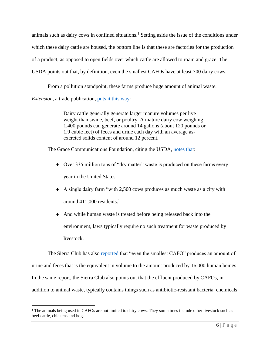animals such as dairy cows in confined situations.<sup>1</sup> Setting aside the issue of the conditions under which these dairy cattle are housed, the bottom line is that these are factories for the production of a product, as opposed to open fields over which cattle are allowed to roam and graze. The USDA points out that, by definition, even the smallest CAFOs have at least 700 dairy cows.

From a pollution standpoint, these farms produce huge amount of animal waste.

*Extension*, a trade publication, [puts it this way:](http://articles.extension.org/pages/15476/liquid-manure-storage-ponds-pits-and-tanks)

 $\overline{a}$ 

Dairy cattle generally generate larger manure volumes per live weight than swine, beef, or poultry. A mature dairy cow weighing 1,400 pounds can generate around 14 gallons (about 120 pounds or 1.9 cubic feet) of feces and urine each day with an average asexcreted solids content of around 12 percent.

The Grace Communications Foundation, citing the USDA, [notes that:](http://www.sustainabletable.org/906/waste-management)

- Over 335 million tons of "dry matter" waste is produced on these farms every year in the United States.
- A single dairy farm "with 2,500 cows produces as much waste as a city with around 411,000 residents."
- And while human waste is treated before being released back into the environment, laws typically require no such treatment for waste produced by livestock.

The Sierra Club has also [reported](https://www.sierraclub.org/michigan/why-are-cafos-bad#pollutants) that "even the smallest CAFO" produces an amount of urine and feces that is the equivalent in volume to the amount produced by 16,000 human beings. In the same report, the Sierra Club also points out that the effluent produced by CAFOs, in addition to animal waste, typically contains things such as antibiotic-resistant bacteria, chemicals

<sup>&</sup>lt;sup>1</sup> The animals being used in CAFOs are not limited to dairy cows. They sometimes include other livestock such as beef cattle, chickens and hogs.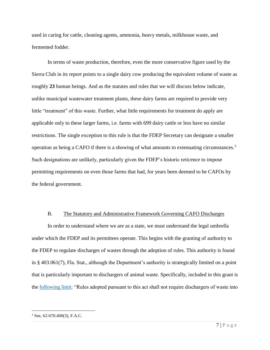used in caring for cattle, cleaning agents, ammonia, heavy metals, milkhouse waste, and fermented fodder.

In terms of waste production, therefore, even the more conservative figure used by the Sierra Club in its report points to a single dairy cow producing the equivalent volume of waste as roughly **23** human beings. And as the statutes and rules that we will discuss below indicate, unlike municipal wastewater treatment plants, these dairy farms are required to provide very little "treatment" of this waste. Further, what little requirements for treatment do apply are applicable only to these larger farms, i.e. farms with 699 dairy cattle or less have no similar restrictions. The single exception to this rule is that the FDEP Secretary can designate a smaller operation as being a CAFO if there is a showing of what amounts to extenuating circumstances.<sup>2</sup> Such designations are unlikely, particularly given the FDEP's historic reticence to impose permitting requirements on even those farms that had, for years been deemed to be CAFOs by the federal government.

#### B. The Statutory and Administrative Framework Governing CAFO Discharges

In order to understand where we are as a state, we must understand the legal umbrella under which the FDEP and its permittees operate. This begins with the granting of authority to the FDEP to regulate discharges of wastes through the adoption of rules. This authority is found in § 403.061(7), Fla. Stat., although the Department's authority is strategically limited on a point that is particularly important to dischargers of animal waste. Specifically, included in this grant is the [following limit:](http://www.leg.state.fl.us/Statutes/index.cfm?App_mode=Display_Statute&Search_String=&URL=0400-0499/0403/Sections/0403.061.html) "Rules adopted pursuant to this act shall not require dischargers of waste into

 $2$  See, 62-670.400(3), F.A.C.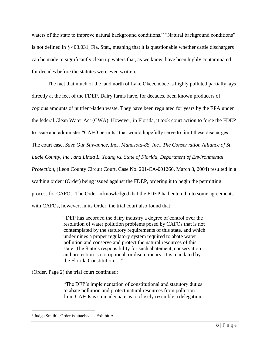waters of the state to improve natural background conditions." "Natural background conditions" is not defined in § 403.031, Fla. Stat., meaning that it is questionable whether cattle dischargers can be made to significantly clean up waters that, as we know, have been highly contaminated for decades before the statutes were even written.

The fact that much of the land north of Lake Okeechobee is highly polluted partially lays directly at the feet of the FDEP. Dairy farms have, for decades, been known producers of copious amounts of nutrient-laden waste. They have been regulated for years by the EPA under the federal Clean Water Act (CWA). However, in Florida, it took court action to force the FDEP to issue and administer "CAFO permits" that would hopefully serve to limit these discharges. The court case, *Save Our Suwannee, Inc., Manasota-88, Inc., The Conservation Alliance of St. Lucie County, Inc., and Linda L. Young vs. State of Florida, Department of Environmental Protection,* (Leon County Circuit Court, Case No. 201-CA-001266, March 3, 2004) resulted in a scathing order<sup>3</sup> (Order) being issued against the FDEP, ordering it to begin the permitting process for CAFOs. The Order acknowledged that the FDEP had entered into some agreements with CAFOs, however, in its Order, the trial court also found that:

> "DEP has accorded the dairy industry a degree of control over the resolution of water pollution problems posed by CAFOs that is not contemplated by the statutory requirements of this state, and which undermines a proper regulatory system required to abate water pollution and conserve and protect the natural resources of this state. The State's responsibility for such abatement, conservation and protection is not optional, or discretionary. It is mandated by the Florida Constitution. . ."

(Order, Page 2) the trial court continued:

"The DEP's implementation of constitutional and statutory duties to abate pollution and protect natural resources from pollution from CAFOs is so inadequate as to closely resemble a delegation

<sup>3</sup> Judge Smith's Order is attached as Exhibit A.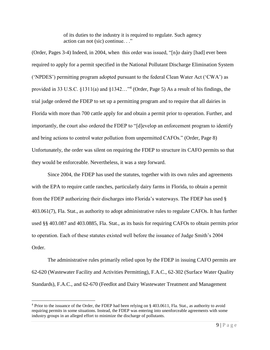of its duties to the industry it is required to regulate. Such agency action can not (sic) continue. . ."

(Order, Pages 3-4) Indeed, in 2004, when this order was issued, "[n]o dairy [had] ever been required to apply for a permit specified in the National Pollutant Discharge Elimination System ('NPDES') permitting program adopted pursuant to the federal Clean Water Act ('CWA') as provided in 33 U.S.C. §1311(a) and §1342..."<sup>4</sup> (Order, Page 5) As a result of his findings, the trial judge ordered the FDEP to set up a permitting program and to require that all dairies in Florida with more than 700 cattle apply for and obtain a permit prior to operation. Further, and importantly, the court also ordered the FDEP to "[d]evelop an enforcement program to identify and bring actions to control water pollution from unpermitted CAFOs." (Order, Page 8) Unfortunately, the order was silent on requiring the FDEP to structure its CAFO permits so that they would be enforceable. Nevertheless, it was a step forward.

Since 2004, the FDEP has used the statutes, together with its own rules and agreements with the EPA to require cattle ranches, particularly dairy farms in Florida, to obtain a permit from the FDEP authorizing their discharges into Florida's waterways. The FDEP has used § 403.061(7), Fla. Stat., as authority to adopt administrative rules to regulate CAFOs. It has further used §§ 403.087 and 403.0885, Fla. Stat., as its basis for requiring CAFOs to obtain permits prior to operation. Each of these statutes existed well before the issuance of Judge Smith's 2004 Order.

The administrative rules primarily relied upon by the FDEP in issuing CAFO permits are 62-620 (Wastewater Facility and Activities Permitting), F.A.C., 62-302 (Surface Water Quality Standards), F.A.C., and 62-670 (Feedlot and Dairy Wastewater Treatment and Management

<sup>4</sup> Prior to the issuance of the Order, the FDEP had been relying on § 403.0611, Fla. Stat., as authority to avoid requiring permits in some situations. Instead, the FDEP was entering into unenforceable agreements with some industry groups in an alleged effort to minimize the discharge of pollutants.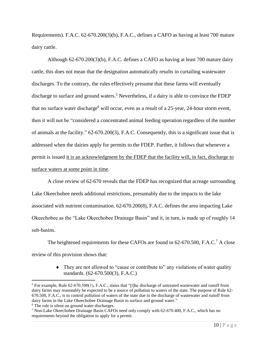Requirements). F.A.C. 62-670.200(3)(b), F.A.C., defines a CAFO as having at least 700 mature dairy cattle.

Although 62-670.200(3)(b), F.A.C. defines a CAFO as having at least 700 mature dairy cattle, this does not mean that the designation automatically results in curtailing wastewater discharges. To the contrary, the rules effectively presume that these farms will eventually discharge to surface and ground waters.<sup>5</sup> Nevertheless, if a dairy is able to convince the FDEP that no surface water discharge<sup>6</sup> will occur, even as a result of a 25-year, 24-hour storm event, then it will not be "considered a concentrated animal feeding operation regardless of the number of animals at the facility." 62-670.200(3), F.A.C. Consequently, this is a significant issue that is addressed when the dairies apply for permits to the FDEP. Further, it follows that whenever a permit is issued it is an acknowledgment by the FDEP that the facility will, in fact, discharge to surface waters at some point in time.

A close review of 62-670 reveals that the FDEP has recognized that acreage surrounding Lake Okeechobee needs additional restrictions, presumably due to the impacts to the lake associated with nutrient contamination. 62-670.200(8), F.A.C. defines the area impacting Lake Okeechobee as the "Lake Okeechobee Drainage Basin" and it, in turn, is made up of roughly 14 sub-basins.

The heightened requirements for these CAFOs are found in 62-670.500, F.A.C.<sup>7</sup> A close review of this provision shows that:

> • They are not allowed to "cause or contribute to" any violations of water quality standards. (62-670.500(3), F.A.C.)

<sup>5</sup> For example, Rule 62-670.500(1), F.A.C., states that "[t]he discharge of untreated wastewater and runoff from dairy farms may reasonably be expected to be a source of pollution to waters of the state. The purpose of Rule 62-670.500, F.A.C., is to control pollution of waters of the state due to the discharge of wastewater and runoff from dairy farms in the Lake Okeechobee Drainage Basin to surface and ground water."

<sup>&</sup>lt;sup>6</sup> The rule is silent on ground water discharges.

<sup>7</sup> Non-Lake Okeechobee Drainage Basin CAFOs need only comply with 62-670.400, F.A.C., which has no requirements beyond the obligation to apply for a permit.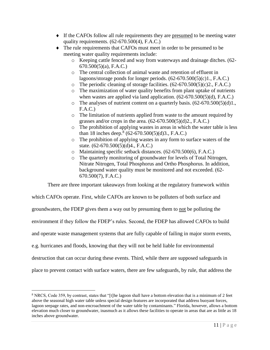- If the CAFOs follow all rule requirements they are presumed to be meeting water quality requirements.  $(62-670.500(4), F.A.C.)$
- The rule requirements that CAFOs must meet in order to be presumed to be meeting water quality requirements include:
	- o Keeping cattle fenced and way from waterways and drainage ditches. (62- 670.500(5)(a), F.A.C.)
	- o The central collection of animal waste and retention of effluent in lagoons/storage ponds for longer periods. (62-670.500(5)(c)1., F.A.C.)
	- $\circ$  The periodic cleaning of storage facilities. (62-670.500(5)(c)2., F.A.C.)
	- o The maximization of water quality benefits from plant uptake of nutrients when wastes are applied via land application.  $(62-670.500(5)(d), F.A.C.)$
	- $\circ$  The analyses of nutrient content on a quarterly basis.  $(62-670.500(5)(d)1)$ , F.A.C.)
	- o The limitation of nutrients applied from waste to the amount required by grasses and/or crops in the area.  $(62-670.500(5)(d)2., F.A.C.)$
	- o The prohibition of applying wastes in areas in which the water table is less than 18 inches deep.<sup>8</sup> (62-670.500(5)(d)3., F.A.C.)
	- o The prohibition of applying wastes in any form to surface waters of the state. (62-670.500(5)(d)4., F.A.C.)
	- o Maintaining specific setback distances. (62-670.500(6), F.A.C.)
	- o The quarterly monitoring of groundwater for levels of Total Nitrogen, Nitrate Nitrogen, Total Phosphorus and Ortho Phosphorus. In addition, background water quality must be monitored and not exceeded. (62- 670.500(7), F.A.C.)

There are three important takeaways from looking at the regulatory framework within

which CAFOs operate. First, while CAFOs are known to be polluters of both surface and groundwaters, the FDEP gives them a way out by presuming them to not be polluting the environment if they follow the FDEP's rules. Second, the FDEP has allowed CAFOs to build and operate waste management systems that are fully capable of failing in major storm events, e.g. hurricanes and floods, knowing that they will not be held liable for environmental destruction that can occur during these events. Third, while there are supposed safeguards in place to prevent contact with surface waters, there are few safeguards, by rule, that address the

<sup>8</sup> NRCS, Code 359, by contrast, states that "[t]he lagoon shall have a bottom elevation that is a minimum of 2 feet above the seasonal high water table unless special design features are incorporated that address buoyant forces, lagoon seepage rates, and non-encroachment of the water table by contaminants." Florida, however, allows a bottom elevation much closer to groundwater, inasmuch as it allows these facilities to operate in areas that are as little as 18 inches above groundwater.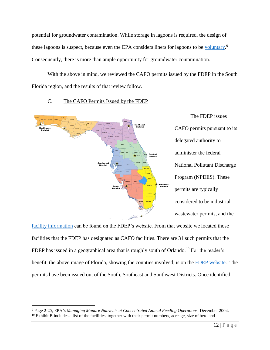potential for groundwater contamination. While storage in lagoons is required, the design of these lagoons is suspect, because even the EPA considers liners for lagoons to be [voluntary.](https://www3.epa.gov/npdes/pubs/cafo_manure_guidance.pdf)<sup>9</sup> Consequently, there is more than ample opportunity for groundwater contamination.

With the above in mind, we reviewed the CAFO permits issued by the FDEP in the South Florida region, and the results of that review follow.



## C. The CAFO Permits Issued by the FDEP

[facility information](https://floridadep.gov/water/domestic-wastewater/content/wastewater-facility-information) can be found on the FDEP's website. From that website we located those facilities that the FDEP has designated as CAFO facilities. There are 31 such permits that the FDEP has issued in a geographical area that is roughly south of Orlando.<sup>10</sup> For the reader's benefit, the above image of Florida, showing the counties involved, is on the FDEP [website.](https://floridadep.gov/districts) The permits have been issued out of the South, Southeast and Southwest Districts. Once identified,

<sup>9</sup> Page 2-25, EPA's *Managing Manure Nutrients at Concentrated Animal Feeding Operations*, December 2004.  $10$  Exhibit B includes a list of the facilities, together with their permit numbers, acreage, size of herd and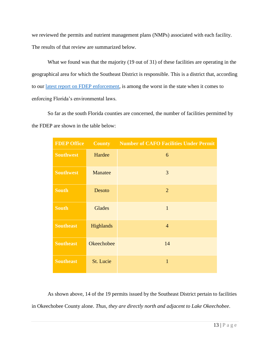we reviewed the permits and nutrient management plans (NMPs) associated with each facility. The results of that review are summarized below.

What we found was that the majority (19 out of 31) of these facilities are operating in the geographical area for which the Southeast District is responsible. This is a district that, according to our [latest report on FDEP enforcement,](https://www.peer.org/assets/docs/fl/7_23_18_Report_on_2017_Enforcement.pdf) is among the worst in the state when it comes to enforcing Florida's environmental laws.

So far as the south Florida counties are concerned, the number of facilities permitted by the FDEP are shown in the table below:

| <b>FDEP Office</b> | <b>County</b>     | <b>Number of CAFO Facilities Under Permit</b> |
|--------------------|-------------------|-----------------------------------------------|
| <b>Southwest</b>   | Hardee            | 6                                             |
| <b>Southwest</b>   | Manatee           | 3                                             |
| <b>South</b>       | Desoto            | $\overline{2}$                                |
| <b>South</b>       | <b>Glades</b>     | $\mathbf{1}$                                  |
| <b>Southeast</b>   | Highlands         | $\overline{4}$                                |
| <b>Southeast</b>   | <b>Okeechobee</b> | 14                                            |
| <b>Southeast</b>   | St. Lucie         | $\mathbf{1}$                                  |

As shown above, 14 of the 19 permits issued by the Southeast District pertain to facilities in Okeechobee County alone. *Thus, they are directly north and adjacent to Lake Okeechobee*.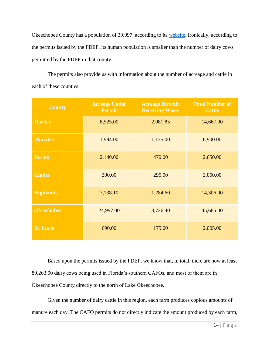Okeechobee County has a population of 39,997, according to its [website.](http://www.co.okeechobee.fl.us/government/about-the-county) Ironically, according to the permits issued by the FDEP, its human population is smaller than the number of dairy cows permitted by the FDEP in that county.

The permits also provide us with information about the number of acreage and cattle in each of these counties.

| <b>County</b>     | <b>Acreage Under</b><br><b>Permit</b> | <b>Acreage Directly</b><br><b>Receiving Waste</b> | <b>Total Number of</b><br><b>Cattle</b> |
|-------------------|---------------------------------------|---------------------------------------------------|-----------------------------------------|
| <b>Hardee</b>     | 8,525.00                              | 2,081.85                                          | 14,667.00                               |
| <b>Manatee</b>    | 1,994.00                              | 1,135.00                                          | 6,900.00                                |
| <b>Desoto</b>     | 2,140.00                              | 470.00                                            | 2,650.00                                |
| <b>Glades</b>     | 300.00                                | 295.00                                            | 3,050.00                                |
| <b>Highlands</b>  | 7,138.10                              | 1,284.60                                          | 14,306.00                               |
| <b>Okeechobee</b> | 24,997.00                             | 3,726.40                                          | 45,685.00                               |
| <b>St. Lucie</b>  | 690.00                                | 175.00                                            | 2,005.00                                |

Based upon the permits issued by the FDEP, we know that, in total, there are now at least 89,263.00 dairy cows being used in Florida's southern CAFOs, and most of them are in Okeechobee County directly to the north of Lake Okeechobee.

Given the number of dairy cattle in this region, each farm produces copious amounts of manure each day. The CAFO permits do not directly indicate the amount produced by each farm,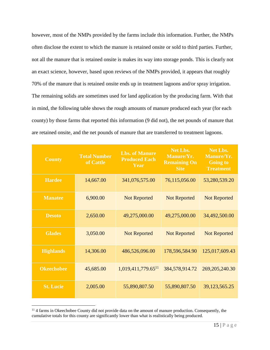however, most of the NMPs provided by the farms include this information. Further, the NMPs often disclose the extent to which the manure is retained onsite or sold to third parties. Further, not all the manure that is retained onsite is makes its way into storage ponds. This is clearly not an exact science, however, based upon reviews of the NMPs provided, it appears that roughly 70% of the manure that is retained onsite ends up in treatment lagoons and/or spray irrigation. The remaining solids are sometimes used for land application by the producing farm. With that in mind, the following table shows the rough amounts of manure produced each year (for each county) by those farms that reported this information (9 did not), the net pounds of manure that are retained onsite, and the net pounds of manure that are transferred to treatment lagoons.

| <b>County</b>     | <b>Total Number</b><br>of Cattle | <b>Lbs. of Manure</b><br><b>Produced Each</b><br>Year | <b>Net Lbs.</b><br>Manure/Yr.<br><b>Remaining On</b><br><b>Site</b> | <b>Net Lbs.</b><br>Manure/Yr.<br><b>Going to</b><br><b>Treatment</b> |
|-------------------|----------------------------------|-------------------------------------------------------|---------------------------------------------------------------------|----------------------------------------------------------------------|
| <b>Hardee</b>     | 14,667.00                        | 341,076,575.00                                        | 76,115,056.00                                                       | 53,280,539.20                                                        |
| <b>Manatee</b>    | 6,900.00                         | <b>Not Reported</b>                                   | <b>Not Reported</b>                                                 | <b>Not Reported</b>                                                  |
| <b>Desoto</b>     | 2,650.00                         | 49,275,000.00                                         | 49,275,000.00                                                       | 34,492,500.00                                                        |
| <b>Glades</b>     | 3,050.00                         | <b>Not Reported</b>                                   | <b>Not Reported</b>                                                 | <b>Not Reported</b>                                                  |
| <b>Highlands</b>  | 14,306.00                        | 486,526,096.00                                        | 178,596,584.90                                                      | 125,017,609.43                                                       |
| <b>Okeechobee</b> | 45,685.00                        | $1,019,411,779.65$ <sup>11</sup>                      | 384,578,914.72                                                      | 269, 205, 240. 30                                                    |
| <b>St. Lucie</b>  | 2,005.00                         | 55,890,807.50                                         | 55,890,807.50                                                       | 39,123,565.25                                                        |

<sup>&</sup>lt;sup>11</sup> 4 farms in Okeechobee County did not provide data on the amount of manure production. Consequently, the cumulative totals for this county are significantly lower than what is realistically being produced.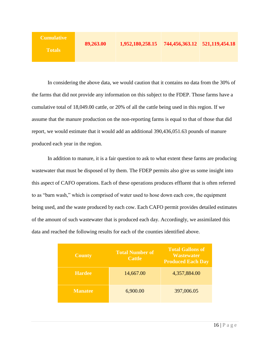| <b>Cumulative</b> |           |                                                |  |
|-------------------|-----------|------------------------------------------------|--|
| <b>Totals</b>     | 89,263.00 | 1,952,180,258.15 744,456,363.12 521,119,454.18 |  |

In considering the above data, we would caution that it contains no data from the 30% of the farms that did not provide any information on this subject to the FDEP. Those farms have a cumulative total of 18,049.00 cattle, or 20% of all the cattle being used in this region. If we assume that the manure production on the non-reporting farms is equal to that of those that did report, we would estimate that it would add an additional 390,436,051.63 pounds of manure produced each year in the region.

In addition to manure, it is a fair question to ask to what extent these farms are producing wastewater that must be disposed of by them. The FDEP permits also give us some insight into this aspect of CAFO operations. Each of these operations produces effluent that is often referred to as "barn wash," which is comprised of water used to hose down each cow, the equipment being used, and the waste produced by each cow. Each CAFO permit provides detailed estimates of the amount of such wastewater that is produced each day. Accordingly, we assimilated this data and reached the following results for each of the counties identified above.

| <b>County</b>  | <b>Total Number of</b><br><b>Cattle</b> | <b>Total Gallons of</b><br><b>Wastewater</b><br><b>Produced Each Day</b> |
|----------------|-----------------------------------------|--------------------------------------------------------------------------|
| <b>Hardee</b>  | 14,667.00                               | 4,357,884.00                                                             |
| <b>Manatee</b> | 6,900.00                                | 397,006.05                                                               |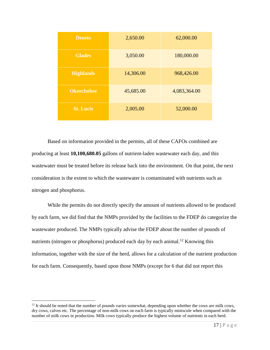| <b>Desoto</b>     | 2,650.00  | 62,000.00    |
|-------------------|-----------|--------------|
| <b>Glades</b>     | 3,050.00  | 180,000.00   |
| <b>Highlands</b>  | 14,306.00 | 968,426.00   |
| <b>Okeechobee</b> | 45,685.00 | 4,083,364.00 |
| <b>St. Lucie</b>  | 2,005.00  | 52,000.00    |

Based on information provided in the permits, all of these CAFOs combined are producing at least **10,100,680.05** gallons of nutrient-laden wastewater each day, and this wastewater must be treated before its release back into the environment. On that point, the next consideration is the extent to which the wastewater is contaminated with nutrients such as nitrogen and phosphorus.

While the permits do not directly specify the amount of nutrients allowed to be produced by each farm, we did find that the NMPs provided by the facilities to the FDEP do categorize the wastewater produced. The NMPs typically advise the FDEP about the number of pounds of nutrients (nitrogen or phosphorus) produced each day by each animal.<sup>12</sup> Knowing this information, together with the size of the herd, allows for a calculation of the nutrient production for each farm. Consequently, based upon those NMPs (except for 6 that did not report this

 $12$  It should be noted that the number of pounds varies somewhat, depending upon whether the cows are milk cows, dry cows, calves etc. The percentage of non-milk cows on each farm is typically miniscule when compared with the number of milk cows in production. Milk cows typically produce the highest volume of nutrients in each herd.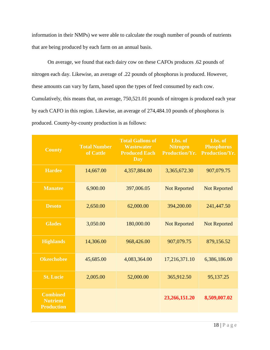information in their NMPs) we were able to calculate the rough number of pounds of nutrients that are being produced by each farm on an annual basis.

On average, we found that each dairy cow on these CAFOs produces .62 pounds of nitrogen each day. Likewise, an average of .22 pounds of phosphorus is produced. However, these amounts can vary by farm, based upon the types of feed consumed by each cow. Cumulatively, this means that, on average, 750,521.01 pounds of nitrogen is produced each year by each CAFO in this region. Likewise, an average of 274,484.10 pounds of phosphorus is produced. County-by-county production is as follows:

| <b>County</b>                                           | <b>Total Number</b><br>of Cattle | <b>Total Gallons of</b><br><b>Wastewater</b><br><b>Produced Each</b><br>$\overline{\mathbf{Day}}$ | Lbs. of<br><b>Nitrogen</b><br><b>Production/Yr.</b> | Lbs. of<br><b>Phosphorus</b><br><b>Production/Yr.</b> |
|---------------------------------------------------------|----------------------------------|---------------------------------------------------------------------------------------------------|-----------------------------------------------------|-------------------------------------------------------|
| <b>Hardee</b>                                           | 14,667.00                        | 4,357,884.00                                                                                      | 3,365,672.30                                        | 907,079.75                                            |
| <b>Manatee</b>                                          | 6,900.00                         | 397,006.05                                                                                        | <b>Not Reported</b>                                 | <b>Not Reported</b>                                   |
| <b>Desoto</b>                                           | 2,650.00                         | 62,000.00                                                                                         | 394,200.00                                          | 241,447.50                                            |
| <b>Glades</b>                                           | 3,050.00                         | 180,000.00                                                                                        | <b>Not Reported</b>                                 | <b>Not Reported</b>                                   |
| <b>Highlands</b>                                        | 14,306.00                        | 968,426.00                                                                                        | 907,079.75                                          | 879,156.52                                            |
| <b>Okeechobee</b>                                       | 45,685.00                        | 4,083,364.00                                                                                      | 17,216,371.10                                       | 6,386,186.00                                          |
| <b>St. Lucie</b>                                        | 2,005.00                         | 52,000.00                                                                                         | 365,912.50                                          | 95,137.25                                             |
| <b>Combined</b><br><b>Nutrient</b><br><b>Production</b> |                                  |                                                                                                   | 23,266,151.20                                       | 8,509,007.02                                          |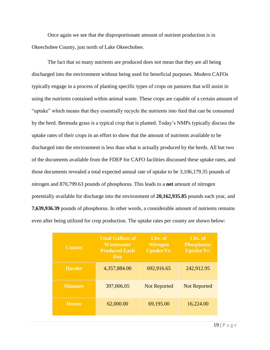Once again we see that the disproportionate amount of nutrient production is in Okeechobee County, just north of Lake Okeechobee.

The fact that so many nutrients are produced does not mean that they are all being discharged into the environment without being used for beneficial purposes. Modern CAFOs typically engage in a process of planting specific types of crops on pastures that will assist in using the nutrients contained within animal waste. These crops are capable of a certain amount of "uptake" which means that they essentially recycle the nutrients into feed that can be consumed by the herd. Bermuda grass is a typical crop that is planted. Today's NMPs typically discuss the uptake rates of their crops in an effort to show that the amount of nutrients available to be discharged into the environment is less than what is actually produced by the herds. All but two of the documents available from the FDEP for CAFO facilities discussed these uptake rates, and those documents revealed a total expected annual rate of uptake to be 3,106,179.35 pounds of nitrogen and 870,799.63 pounds of phosphorus. This leads to a **net** amount of nitrogen potentially available for discharge into the environment of **20,162,935.85** pounds each year, and **7,639,936.39** pounds of phosphorus. In other words, a considerable amount of nutrients remains even after being utilized for crop production. The uptake rates per county are shown below:

| <b>County</b>  | <b>Total Gallons of</b><br><b>Wastewater</b><br><b>Produced Each</b><br>Day | Lbs. of<br><b>Nitrogen</b><br><b>Uptake/Yr.</b> | Lbs. of<br><b>Phosphorus</b><br><b>Uptake/Yr.</b> |
|----------------|-----------------------------------------------------------------------------|-------------------------------------------------|---------------------------------------------------|
| <b>Hardee</b>  | 4,357,884.00                                                                | 692,916.65                                      | 242,912.95                                        |
| <b>Manatee</b> | 397,006.05                                                                  | <b>Not Reported</b>                             | <b>Not Reported</b>                               |
| <b>Desoto</b>  | 62,000.00                                                                   | 69,195.00                                       | 16,224.00                                         |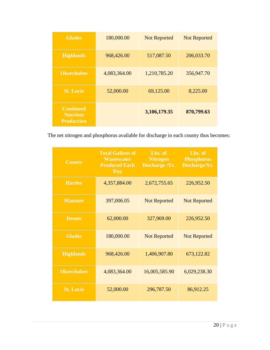| <b>Glades</b>                                           | 180,000.00   | <b>Not Reported</b> | <b>Not Reported</b> |
|---------------------------------------------------------|--------------|---------------------|---------------------|
| <b>Highlands</b>                                        | 968,426.00   | 517,087.50          | 206,033.70          |
| <b>Okeechobee</b>                                       | 4,083,364.00 | 1,210,785.20        | 356,947.70          |
| <b>St. Lucie</b>                                        | 52,000.00    | 69,125.00           | 8,225.00            |
| <b>Combined</b><br><b>Nutrient</b><br><b>Production</b> |              | 3,106,179.35        | 870,799.63          |

The net nitrogen and phosphorus available for discharge in each county thus becomes:

| <b>County</b>     | <b>Total Gallons of</b><br><b>Wastewater</b><br><b>Produced Each</b><br><b>Day</b> | Lbs. of<br><b>Nitrogen</b><br>Discharge /Yr. | Lbs. of<br><b>Phosphorus</b><br>Discharge/Yr. |
|-------------------|------------------------------------------------------------------------------------|----------------------------------------------|-----------------------------------------------|
| <b>Hardee</b>     | 4,357,884.00                                                                       | 2,672,755.65                                 | 226,952.50                                    |
| <b>Manatee</b>    | 397,006.05                                                                         | <b>Not Reported</b>                          | <b>Not Reported</b>                           |
| <b>Desoto</b>     | 62,000.00                                                                          | 327,969.00                                   | 226,952.50                                    |
| <b>Glades</b>     | 180,000.00                                                                         | <b>Not Reported</b>                          | <b>Not Reported</b>                           |
| <b>Highlands</b>  | 968,426.00                                                                         | 1,406,907.80                                 | 673,122.82                                    |
| <b>Okeechobee</b> | 4,083,364.00                                                                       | 16,005,585.90                                | 6,029,238.30                                  |
| <b>St. Lucie</b>  | 52,000.00                                                                          | 296,787.50                                   | 86,912.25                                     |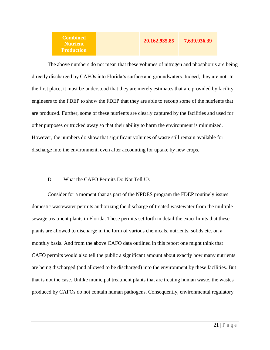| nbined<br>trient | 20, 162, 935.85 | 7,639,936.39 |
|------------------|-----------------|--------------|
| duction          |                 |              |

The above numbers do not mean that these volumes of nitrogen and phosphorus are being directly discharged by CAFOs into Florida's surface and groundwaters. Indeed, they are not. In the first place, it must be understood that they are merely estimates that are provided by facility engineers to the FDEP to show the FDEP that they are able to recoup some of the nutrients that are produced. Further, some of these nutrients are clearly captured by the facilities and used for other purposes or trucked away so that their ability to harm the environment is minimized. However, the numbers do show that significant volumes of waste still remain available for discharge into the environment, even after accounting for uptake by new crops.

## D. What the CAFO Permits Do Not Tell Us

Co<sub>1</sub>  $N<sub>l</sub>$ Pro

Consider for a moment that as part of the NPDES program the FDEP routinely issues domestic wastewater permits authorizing the discharge of treated wastewater from the multiple sewage treatment plants in Florida. These permits set forth in detail the exact limits that these plants are allowed to discharge in the form of various chemicals, nutrients, solids etc. on a monthly basis. And from the above CAFO data outlined in this report one might think that CAFO permits would also tell the public a significant amount about exactly how many nutrients are being discharged (and allowed to be discharged) into the environment by these facilities. But that is not the case. Unlike municipal treatment plants that are treating human waste, the wastes produced by CAFOs do not contain human pathogens. Consequently, environmental regulatory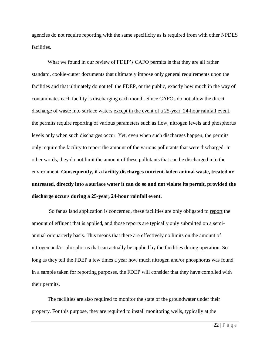agencies do not require reporting with the same specificity as is required from with other NPDES facilities.

What we found in our review of FDEP's CAFO permits is that they are all rather standard, cookie-cutter documents that ultimately impose only general requirements upon the facilities and that ultimately do not tell the FDEP, or the public, exactly how much in the way of contaminates each facility is discharging each month. Since CAFOs do not allow the direct discharge of waste into surface waters except in the event of a 25-year, 24-hour rainfall event, the permits require reporting of various parameters such as flow, nitrogen levels and phosphorus levels only when such discharges occur. Yet, even when such discharges happen, the permits only require the facility to report the amount of the various pollutants that were discharged. In other words, they do not limit the amount of these pollutants that can be discharged into the environment. **Consequently, if a facility discharges nutrient-laden animal waste, treated or untreated, directly into a surface water it can do so and not violate its permit, provided the discharge occurs during a 25-year, 24-hour rainfall event.**

So far as land application is concerned, these facilities are only obligated to report the amount of effluent that is applied, and those reports are typically only submitted on a semiannual or quarterly basis. This means that there are effectively no limits on the amount of nitrogen and/or phosphorus that can actually be applied by the facilities during operation. So long as they tell the FDEP a few times a year how much nitrogen and/or phosphorus was found in a sample taken for reporting purposes, the FDEP will consider that they have complied with their permits.

The facilities are also required to monitor the state of the groundwater under their property. For this purpose, they are required to install monitoring wells, typically at the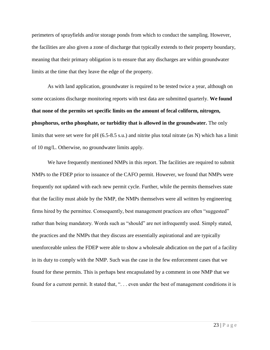perimeters of sprayfields and/or storage ponds from which to conduct the sampling. However, the facilities are also given a zone of discharge that typically extends to their property boundary, meaning that their primary obligation is to ensure that any discharges are within groundwater limits at the time that they leave the edge of the property.

As with land application, groundwater is required to be tested twice a year, although on some occasions discharge monitoring reports with test data are submitted quarterly. **We found that none of the permits set specific limits on the amount of fecal coliform, nitrogen, phosphorus, ortho phosphate, or turbidity that is allowed in the groundwater.** The only limits that were set were for pH (6.5-8.5 s.u.) and nitrite plus total nitrate (as N) which has a limit of 10 mg/L. Otherwise, no groundwater limits apply.

We have frequently mentioned NMPs in this report. The facilities are required to submit NMPs to the FDEP prior to issuance of the CAFO permit. However, we found that NMPs were frequently not updated with each new permit cycle. Further, while the permits themselves state that the facility must abide by the NMP, the NMPs themselves were all written by engineering firms hired by the permittee. Consequently, best management practices are often "suggested" rather than being mandatory. Words such as "should" are not infrequently used. Simply stated, the practices and the NMPs that they discuss are essentially aspirational and are typically unenforceable unless the FDEP were able to show a wholesale abdication on the part of a facility in its duty to comply with the NMP. Such was the case in the few enforcement cases that we found for these permits. This is perhaps best encapsulated by a comment in one NMP that we found for a current permit. It stated that, "... even under the best of management conditions it is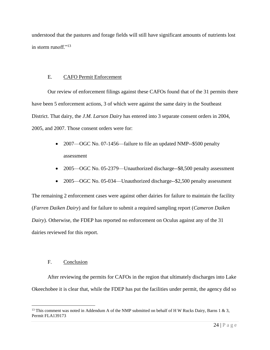understood that the pastures and forage fields will still have significant amounts of nutrients lost in storm runoff."<sup>13</sup>

### E. CAFO Permit Enforcement

Our review of enforcement filings against these CAFOs found that of the 31 permits there have been 5 enforcement actions, 3 of which were against the same dairy in the Southeast District. That dairy, the *J.M. Larson Dairy* has entered into 3 separate consent orders in 2004, 2005, and 2007. Those consent orders were for:

- 2007—OGC No. 07-1456—failure to file an updated NMP--\$500 penalty assessment
- 2005—OGC No. 05-2379—Unauthorized discharge--\$8,500 penalty assessment
- 2005—OGC No. 05-034—Unauthorized discharge--\$2,500 penalty assessment

The remaining 2 enforcement cases were against other dairies for failure to maintain the facility (*Farren Daiken Dairy*) and for failure to submit a required sampling report (*Cameron Daiken Dairy*). Otherwise, the FDEP has reported no enforcement on Oculus against any of the 31 dairies reviewed for this report.

## F. Conclusion

 $\overline{a}$ 

After reviewing the permits for CAFOs in the region that ultimately discharges into Lake Okeechobee it is clear that, while the FDEP has put the facilities under permit, the agency did so

<sup>&</sup>lt;sup>13</sup> This comment was noted in Addendum A of the NMP submitted on behalf of H W Rucks Dairy, Barns 1 & 3, Permit FLA139173